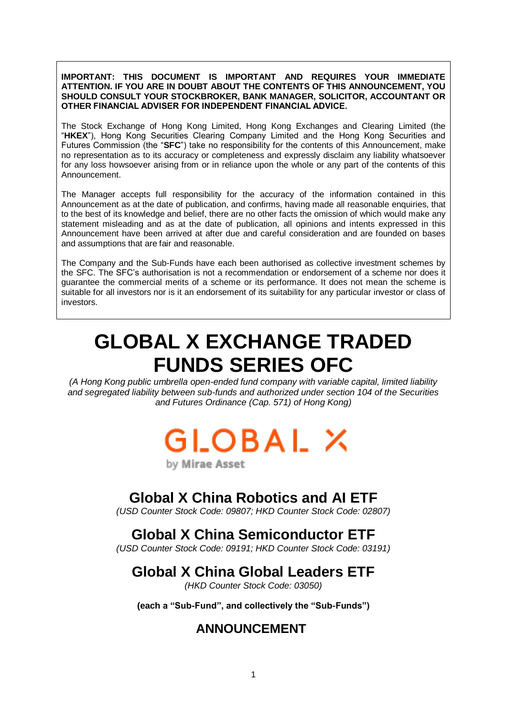**IMPORTANT: THIS DOCUMENT IS IMPORTANT AND REQUIRES YOUR IMMEDIATE ATTENTION. IF YOU ARE IN DOUBT ABOUT THE CONTENTS OF THIS ANNOUNCEMENT, YOU SHOULD CONSULT YOUR STOCKBROKER, BANK MANAGER, SOLICITOR, ACCOUNTANT OR OTHER FINANCIAL ADVISER FOR INDEPENDENT FINANCIAL ADVICE.**

The Stock Exchange of Hong Kong Limited, Hong Kong Exchanges and Clearing Limited (the "**HKEX**"), Hong Kong Securities Clearing Company Limited and the Hong Kong Securities and Futures Commission (the "**SFC**") take no responsibility for the contents of this Announcement, make no representation as to its accuracy or completeness and expressly disclaim any liability whatsoever for any loss howsoever arising from or in reliance upon the whole or any part of the contents of this Announcement.

The Manager accepts full responsibility for the accuracy of the information contained in this Announcement as at the date of publication, and confirms, having made all reasonable enquiries, that to the best of its knowledge and belief, there are no other facts the omission of which would make any statement misleading and as at the date of publication, all opinions and intents expressed in this Announcement have been arrived at after due and careful consideration and are founded on bases and assumptions that are fair and reasonable.

The Company and the Sub-Funds have each been authorised as collective investment schemes by the SFC. The SFC's authorisation is not a recommendation or endorsement of a scheme nor does it guarantee the commercial merits of a scheme or its performance. It does not mean the scheme is suitable for all investors nor is it an endorsement of its suitability for any particular investor or class of investors.

# **GLOBAL X EXCHANGE TRADED FUNDS SERIES OFC**

*(A Hong Kong public umbrella open-ended fund company with variable capital, limited liability and segregated liability between sub-funds and authorized under section 104 of the Securities and Futures Ordinance (Cap. 571) of Hong Kong)*

# GLOBAL X

by Mirae Asset

## **Global X China Robotics and AI ETF**

*(USD Counter Stock Code: 09807; HKD Counter Stock Code: 02807)*

## **Global X China Semiconductor ETF**

*(USD Counter Stock Code: 09191; HKD Counter Stock Code: 03191)*

# **Global X China Global Leaders ETF**

*(HKD Counter Stock Code: 03050)*

**(each a "Sub-Fund", and collectively the "Sub-Funds")**

### **ANNOUNCEMENT**